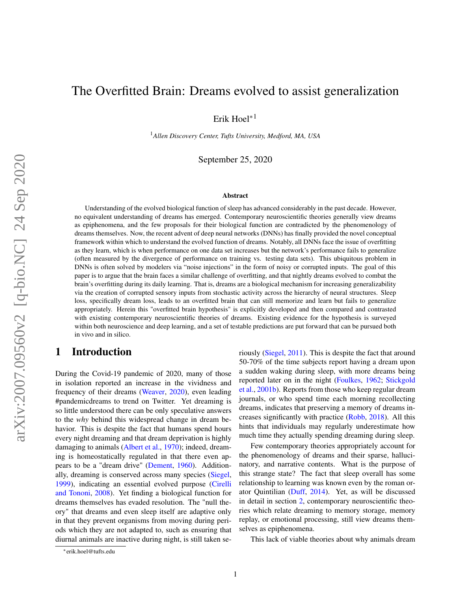# The Overfitted Brain: Dreams evolved to assist generalization

Erik Hoel∗<sup>1</sup>

<sup>1</sup>*Allen Discovery Center, Tufts University, Medford, MA, USA*

September 25, 2020

#### Abstract

Understanding of the evolved biological function of sleep has advanced considerably in the past decade. However, no equivalent understanding of dreams has emerged. Contemporary neuroscientific theories generally view dreams as epiphenomena, and the few proposals for their biological function are contradicted by the phenomenology of dreams themselves. Now, the recent advent of deep neural networks (DNNs) has finally provided the novel conceptual framework within which to understand the evolved function of dreams. Notably, all DNNs face the issue of overfitting as they learn, which is when performance on one data set increases but the network's performance fails to generalize (often measured by the divergence of performance on training vs. testing data sets). This ubiquitous problem in DNNs is often solved by modelers via "noise injections" in the form of noisy or corrupted inputs. The goal of this paper is to argue that the brain faces a similar challenge of overfitting, and that nightly dreams evolved to combat the brain's overfitting during its daily learning. That is, dreams are a biological mechanism for increasing generalizability via the creation of corrupted sensory inputs from stochastic activity across the hierarchy of neural structures. Sleep loss, specifically dream loss, leads to an overfitted brain that can still memorize and learn but fails to generalize appropriately. Herein this "overfitted brain hypothesis" is explicitly developed and then compared and contrasted with existing contemporary neuroscientific theories of dreams. Existing evidence for the hypothesis is surveyed within both neuroscience and deep learning, and a set of testable predictions are put forward that can be pursued both in vivo and in silico.

### 1 Introduction

During the Covid-19 pandemic of 2020, many of those in isolation reported an increase in the vividness and frequency of their dreams [\(Weaver,](#page-17-0) [2020\)](#page-17-0), even leading #pandemicdreams to trend on Twitter. Yet dreaming is so little understood there can be only speculative answers to the *why* behind this widespread change in dream behavior. This is despite the fact that humans spend hours every night dreaming and that dream deprivation is highly damaging to animals [\(Albert et al.,](#page-12-0) [1970\)](#page-12-0); indeed, dreaming is homeostatically regulated in that there even appears to be a "dream drive" [\(Dement,](#page-12-1) [1960\)](#page-12-1). Additionally, dreaming is conserved across many species [\(Siegel,](#page-16-0) [1999\)](#page-16-0), indicating an essential evolved purpose [\(Cirelli](#page-12-2) [and Tononi,](#page-12-2) [2008\)](#page-12-2). Yet finding a biological function for dreams themselves has evaded resolution. The "null theory" that dreams and even sleep itself are adaptive only in that they prevent organisms from moving during periods which they are not adapted to, such as ensuring that diurnal animals are inactive during night, is still taken seriously [\(Siegel,](#page-16-1) [2011\)](#page-16-1). This is despite the fact that around 50-70% of the time subjects report having a dream upon a sudden waking during sleep, with more dreams being reported later on in the night [\(Foulkes,](#page-13-0) [1962;](#page-13-0) [Stickgold](#page-16-2) [et al.,](#page-16-2) [2001b\)](#page-16-2). Reports from those who keep regular dream journals, or who spend time each morning recollecting dreams, indicates that preserving a memory of dreams increases significantly with practice [\(Robb,](#page-15-0) [2018\)](#page-15-0). All this hints that individuals may regularly underestimate how much time they actually spending dreaming during sleep.

Few contemporary theories appropriately account for the phenomenology of dreams and their sparse, hallucinatory, and narrative contents. What is the purpose of this strange state? The fact that sleep overall has some relationship to learning was known even by the roman orator Quintilian [\(Duff,](#page-13-1) [2014\)](#page-13-1). Yet, as will be discussed in detail in section [2,](#page-2-0) contemporary neuroscientific theories which relate dreaming to memory storage, memory replay, or emotional processing, still view dreams themselves as epiphenomena.

This lack of viable theories about why animals dream

<sup>∗</sup> erik.hoel@tufts.edu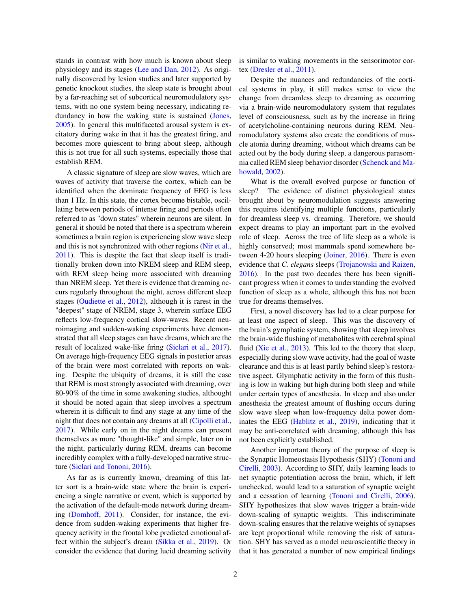stands in contrast with how much is known about sleep physiology and its stages [\(Lee and Dan,](#page-15-1) [2012\)](#page-15-1). As originally discovered by lesion studies and later supported by genetic knockout studies, the sleep state is brought about by a far-reaching set of subcortical neuromodulatory systems, with no one system being necessary, indicating redundancy in how the waking state is sustained [\(Jones,](#page-14-0) [2005\)](#page-14-0). In general this multifaceted arousal system is excitatory during wake in that it has the greatest firing, and becomes more quiescent to bring about sleep, although this is not true for all such systems, especially those that establish REM.

A classic signature of sleep are slow waves, which are waves of activity that traverse the cortex, which can be identified when the dominate frequency of EEG is less than 1 Hz. In this state, the cortex become bistable, oscillating between periods of intense firing and periods often referred to as "down states" wherein neurons are silent. In general it should be noted that there is a spectrum wherein sometimes a brain region is experiencing slow wave sleep and this is not synchronized with other regions [\(Nir et al.,](#page-15-2) [2011\)](#page-15-2). This is despite the fact that sleep itself is traditionally broken down into NREM sleep and REM sleep, with REM sleep being more associated with dreaming than NREM sleep. Yet there is evidence that dreaming occurs regularly throughout the night, across different sleep stages [\(Oudiette et al.,](#page-15-3) [2012\)](#page-15-3), although it is rarest in the "deepest" stage of NREM, stage 3, wherein surface EEG reflects low-frequency cortical slow-waves. Recent neuroimaging and sudden-waking experiments have demonstrated that all sleep stages can have dreams, which are the result of localized wake-like firing [\(Siclari et al.,](#page-16-3) [2017\)](#page-16-3). On average high-frequency EEG signals in posterior areas of the brain were most correlated with reports on waking. Despite the ubiquity of dreams, it is still the case that REM is most strongly associated with dreaming, over 80-90% of the time in some awakening studies, althought it should be noted again that sleep involves a spectrum wherein it is difficult to find any stage at any time of the night that does not contain any dreams at all [\(Cipolli et al.,](#page-12-3) [2017\)](#page-12-3). While early on in the night dreams can present themselves as more "thought-like" and simple, later on in the night, particularly during REM, dreams can become incredibly complex with a fully-developed narrative structure [\(Siclari and Tononi,](#page-16-4) [2016\)](#page-16-4).

As far as is currently known, dreaming of this latter sort is a brain-wide state where the brain is experiencing a single narrative or event, which is supported by the activation of the default-mode network during dreaming [\(Domhoff,](#page-12-4) [2011\)](#page-12-4). Consider, for instance, the evidence from sudden-waking experiments that higher frequency activity in the frontal lobe predicted emotional affect within the subject's dream [\(Sikka et al.,](#page-16-5) [2019\)](#page-16-5). Or consider the evidence that during lucid dreaming activity is similar to waking movements in the sensorimotor cortex [\(Dresler et al.,](#page-13-2) [2011\)](#page-13-2).

Despite the nuances and redundancies of the cortical systems in play, it still makes sense to view the change from dreamless sleep to dreaming as occurring via a brain-wide neuromodulatory system that regulates level of consciousness, such as by the increase in firing of acetylcholine-containing neurons during REM. Neuromodulatory systems also create the conditions of muscle atonia during dreaming, without which dreams can be acted out by the body during sleep, a dangerous parasomnia called REM sleep behavior disorder [\(Schenck and Ma](#page-16-6)[howald,](#page-16-6) [2002\)](#page-16-6).

What is the overall evolved purpose or function of sleep? The evidence of distinct physiological states brought about by neuromodulation suggests answering this requires identifying multiple functions, particularly for dreamless sleep vs. dreaming. Therefore, we should expect dreams to play an important part in the evolved role of sleep. Across the tree of life sleep as a whole is highly conserved; most mammals spend somewhere be-tween 4-20 hours sleeping [\(Joiner,](#page-14-1) [2016\)](#page-14-1). There is even evidence that *C. elegans* sleeps [\(Trojanowski and Raizen,](#page-17-1) [2016\)](#page-17-1). In the past two decades there has been significant progress when it comes to understanding the evolved function of sleep as a whole, although this has not been true for dreams themselves.

First, a novel discovery has led to a clear purpose for at least one aspect of sleep. This was the discovery of the brain's gymphatic system, showing that sleep involves the brain-wide flushing of metabolites with cerebral spinal fluid [\(Xie et al.,](#page-17-2) [2013\)](#page-17-2). This led to the theory that sleep, especially during slow wave activity, had the goal of waste clearance and this is at least partly behind sleep's restorative aspect. Glymphatic activity in the form of this flushing is low in waking but high during both sleep and while under certain types of anesthesia. In sleep and also under anesthesia the greatest amount of flushing occurs during slow wave sleep when low-frequency delta power dominates the EEG [\(Hablitz et al.,](#page-14-2) [2019\)](#page-14-2), indicating that it may be anti-correlated with dreaming, although this has not been explicitly established.

Another important theory of the purpose of sleep is the Synaptic Homeostasis Hypothesis (SHY) [\(Tononi and](#page-16-7) [Cirelli,](#page-16-7) [2003\)](#page-16-7). According to SHY, daily learning leads to net synaptic potentiation across the brain, which, if left unchecked, would lead to a saturation of synaptic weight and a cessation of learning [\(Tononi and Cirelli,](#page-17-3) [2006\)](#page-17-3). SHY hypothesizes that slow waves trigger a brain-wide down-scaling of synaptic weights. This indiscriminate down-scaling ensures that the relative weights of synapses are kept proportional while removing the risk of saturation. SHY has served as a model neuroscientific theory in that it has generated a number of new empirical findings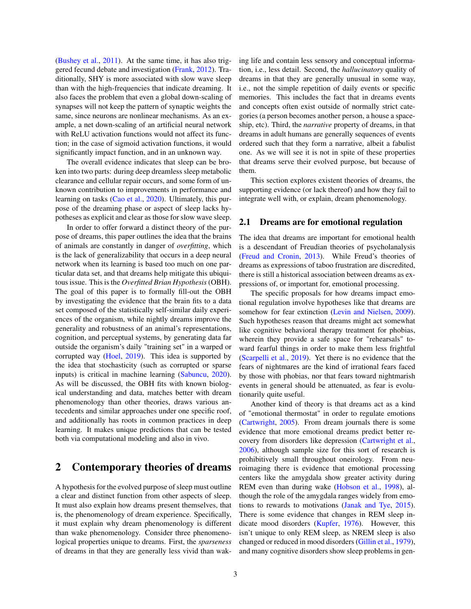[\(Bushey et al.,](#page-12-5) [2011\)](#page-12-5). At the same time, it has also triggered fecund debate and investigation [\(Frank,](#page-13-3) [2012\)](#page-13-3). Traditionally, SHY is more associated with slow wave sleep than with the high-frequencies that indicate dreaming. It also faces the problem that even a global down-scaling of synapses will not keep the pattern of synaptic weights the same, since neurons are nonlinear mechanisms. As an example, a net down-scaling of an artificial neural network with ReLU activation functions would not affect its function; in the case of sigmoid activation functions, it would significantly impact function, and in an unknown way.

The overall evidence indicates that sleep can be broken into two parts: during deep dreamless sleep metabolic clearance and cellular repair occurs, and some form of unknown contribution to improvements in performance and learning on tasks [\(Cao et al.,](#page-12-6) [2020\)](#page-12-6). Ultimately, this purpose of the dreaming phase or aspect of sleep lacks hypotheses as explicit and clear as those for slow wave sleep.

In order to offer forward a distinct theory of the purpose of dreams, this paper outlines the idea that the brains of animals are constantly in danger of *overfitting*, which is the lack of generalizability that occurs in a deep neural network when its learning is based too much on one particular data set, and that dreams help mitigate this ubiquitous issue. This is the *Overfitted Brian Hypothesis* (OBH). The goal of this paper is to formally fill-out the OBH by investigating the evidence that the brain fits to a data set composed of the statistically self-similar daily experiences of the organism, while nightly dreams improve the generality and robustness of an animal's representations, cognition, and perceptual systems, by generating data far outside the organism's daily "training set" in a warped or corrupted way [\(Hoel,](#page-14-3) [2019\)](#page-14-3). This idea is supported by the idea that stochasticity (such as corrupted or sparse inputs) is critical in machine learning [\(Sabuncu,](#page-16-8) [2020\)](#page-16-8). As will be discussed, the OBH fits with known biological understanding and data, matches better with dream phenomenology than other theories, draws various antecedents and similar approaches under one specific roof, and additionally has roots in common practices in deep learning. It makes unique predictions that can be tested both via computational modeling and also in vivo.

### <span id="page-2-0"></span>2 Contemporary theories of dreams

A hypothesis for the evolved purpose of sleep must outline a clear and distinct function from other aspects of sleep. It must also explain how dreams present themselves, that is, the phenomenology of dream experience. Specifically, it must explain why dream phenomenology is different than wake phenomenology. Consider three phenomenological properties unique to dreams. First, the *sparseness* of dreams in that they are generally less vivid than waking life and contain less sensory and conceptual information, i.e., less detail. Second, the *hallucinatory* quality of dreams in that they are generally unusual in some way, i.e., not the simple repetition of daily events or specific memories. This includes the fact that in dreams events and concepts often exist outside of normally strict categories (a person becomes another person, a house a spaceship, etc). Third, the *narrative* property of dreams, in that dreams in adult humans are generally sequences of events ordered such that they form a narrative, albeit a fabulist one. As we will see it is not in spite of these properties that dreams serve their evolved purpose, but because of them.

This section explores existent theories of dreams, the supporting evidence (or lack thereof) and how they fail to integrate well with, or explain, dream phenomenology.

#### 2.1 Dreams are for emotional regulation

The idea that dreams are important for emotional health is a descendant of Freudian theories of psycholanalysis [\(Freud and Cronin,](#page-13-4) [2013\)](#page-13-4). While Freud's theories of dreams as expressions of taboo frustration are discredited, there is still a historical association between dreams as expressions of, or important for, emotional processing.

The specific proposals for how dreams impact emotional regulation involve hypotheses like that dreams are somehow for fear extinction [\(Levin and Nielsen,](#page-15-4) [2009\)](#page-15-4). Such hypotheses reason that dreams might act somewhat like cognitive behavioral therapy treatment for phobias, wherein they provide a safe space for "rehearsals" toward fearful things in order to make them less frightful [\(Scarpelli et al.,](#page-16-9) [2019\)](#page-16-9). Yet there is no evidence that the fears of nightmares are the kind of irrational fears faced by those with phobias, nor that fears toward nightmarish events in general should be attenuated, as fear is evolutionarily quite useful.

Another kind of theory is that dreams act as a kind of "emotional thermostat" in order to regulate emotions [\(Cartwright,](#page-12-7) [2005\)](#page-12-7). From dream journals there is some evidence that more emotional dreams predict better recovery from disorders like depression [\(Cartwright et al.,](#page-12-8) [2006\)](#page-12-8), although sample size for this sort of research is prohibitively small throughout oneirology. From neuroimaging there is evidence that emotional processing centers like the amygdala show greater activity during REM even than during wake [\(Hobson et al.,](#page-14-4) [1998\)](#page-14-4), although the role of the amygdala ranges widely from emotions to rewards to motivations [\(Janak and Tye,](#page-14-5) [2015\)](#page-14-5). There is some evidence that changes in REM sleep indicate mood disorders [\(Kupfer,](#page-14-6) [1976\)](#page-14-6). However, this isn't unique to only REM sleep, as NREM sleep is also changed or reduced in mood disorders [\(Gillin et al.,](#page-13-5) [1979\)](#page-13-5), and many cognitive disorders show sleep problems in gen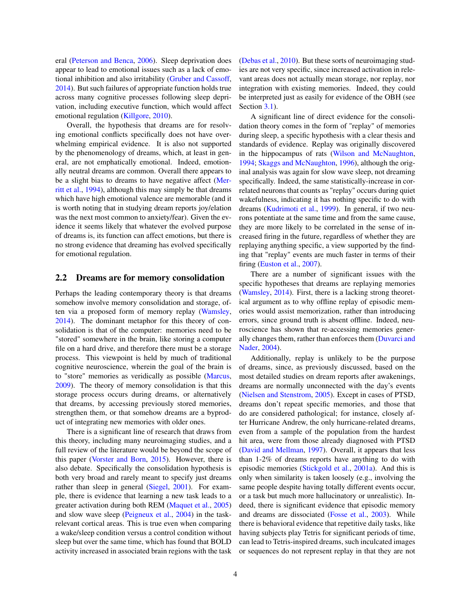eral [\(Peterson and Benca,](#page-15-5) [2006\)](#page-15-5). Sleep deprivation does appear to lead to emotional issues such as a lack of emotional inhibition and also irritability [\(Gruber and Cassoff,](#page-13-6) [2014\)](#page-13-6). But such failures of appropriate function holds true across many cognitive processes following sleep deprivation, including executive function, which would affect emotional regulation [\(Killgore,](#page-14-7) [2010\)](#page-14-7).

Overall, the hypothesis that dreams are for resolving emotional conflicts specifically does not have overwhelming empirical evidence. It is also not supported by the phenomenology of dreams, which, at least in general, are not emphatically emotional. Indeed, emotionally neutral dreams are common. Overall there appears to be a slight bias to dreams to have negative affect [\(Mer](#page-15-6)[ritt et al.,](#page-15-6) [1994\)](#page-15-6), although this may simply be that dreams which have high emotional valence are memorable (and it is worth noting that in studying dream reports joy/elation was the next most common to anxiety/fear). Given the evidence it seems likely that whatever the evolved purpose of dreams is, its function can affect emotions, but there is no strong evidence that dreaming has evolved specifically for emotional regulation.

#### 2.2 Dreams are for memory consolidation

Perhaps the leading contemporary theory is that dreams somehow involve memory consolidation and storage, often via a proposed form of memory replay [\(Wamsley,](#page-17-4) [2014\)](#page-17-4). The dominant metaphor for this theory of consolidation is that of the computer: memories need to be "stored" somewhere in the brain, like storing a computer file on a hard drive, and therefore there must be a storage process. This viewpoint is held by much of traditional cognitive neuroscience, wherein the goal of the brain is to "store" memories as veridically as possible [\(Marcus,](#page-15-7) [2009\)](#page-15-7). The theory of memory consolidation is that this storage process occurs during dreams, or alternatively that dreams, by accessing previously stored memories, strengthen them, or that somehow dreams are a byproduct of integrating new memories with older ones.

There is a significant line of research that draws from this theory, including many neuroimaging studies, and a full review of the literature would be beyond the scope of this paper [\(Vorster and Born,](#page-17-5) [2015\)](#page-17-5). However, there is also debate. Specifically the consolidation hypothesis is both very broad and rarely meant to specify just dreams rather than sleep in general [\(Siegel,](#page-16-10) [2001\)](#page-16-10). For example, there is evidence that learning a new task leads to a greater activation during both REM [\(Maquet et al.,](#page-15-8) [2005\)](#page-15-8) and slow wave sleep [\(Peigneux et al.,](#page-15-9) [2004\)](#page-15-9) in the taskrelevant cortical areas. This is true even when comparing a wake/sleep condition versus a control condition without sleep but over the same time, which has found that BOLD activity increased in associated brain regions with the task [\(Debas et al.,](#page-12-9) [2010\)](#page-12-9). But these sorts of neuroimaging studies are not very specific, since increased activation in relevant areas does not actually mean storage, nor replay, nor integration with existing memories. Indeed, they could be interpreted just as easily for evidence of the OBH (see Section [3.1\)](#page-7-0).

A significant line of direct evidence for the consolidation theory comes in the form of "replay" of memories during sleep, a specific hypothesis with a clear thesis and standards of evidence. Replay was originally discovered in the hippocampus of rats [\(Wilson and McNaughton,](#page-17-6) [1994;](#page-17-6) [Skaggs and McNaughton,](#page-16-11) [1996\)](#page-16-11), although the original analysis was again for slow wave sleep, not dreaming specifically. Indeed, the same statistically-increase in correlated neurons that counts as "replay" occurs during quiet wakefulness, indicating it has nothing specific to do with dreams [\(Kudrimoti et al.,](#page-14-8) [1999\)](#page-14-8). In general, if two neurons potentiate at the same time and from the same cause, they are more likely to be correlated in the sense of increased firing in the future, regardless of whether they are replaying anything specific, a view supported by the finding that "replay" events are much faster in terms of their firing [\(Euston et al.,](#page-13-7) [2007\)](#page-13-7).

There are a number of significant issues with the specific hypotheses that dreams are replaying memories [\(Wamsley,](#page-17-4) [2014\)](#page-17-4). First, there is a lacking strong theoretical argument as to why offline replay of episodic memories would assist memorization, rather than introducing errors, since ground truth is absent offline. Indeed, neuroscience has shown that re-accessing memories generally changes them, rather than enforces them [\(Duvarci and](#page-13-8) [Nader,](#page-13-8) [2004\)](#page-13-8).

Additionally, replay is unlikely to be the purpose of dreams, since, as previously discussed, based on the most detailed studies on dream reports after awakenings, dreams are normally unconnected with the day's events [\(Nielsen and Stenstrom,](#page-15-10) [2005\)](#page-15-10). Except in cases of PTSD, dreams don't repeat specific memories, and those that do are considered pathological; for instance, closely after Hurricane Andrew, the only hurricane-related dreams, even from a sample of the population from the hardest hit area, were from those already diagnosed with PTSD [\(David and Mellman,](#page-12-10) [1997\)](#page-12-10). Overall, it appears that less than 1-2% of dreams reports have anything to do with episodic memories [\(Stickgold et al.,](#page-16-12) [2001a\)](#page-16-12). And this is only when similarity is taken loosely (e.g., involving the same people despite having totally different events occur, or a task but much more hallucinatory or unrealistic). Indeed, there is significant evidence that episodic memory and dreams are dissociated [\(Fosse et al.,](#page-13-9) [2003\)](#page-13-9). While there is behavioral evidence that repetitive daily tasks, like having subjects play Tetris for significant periods of time, can lead to Tetris-inspired dreams, such inculcated images or sequences do not represent replay in that they are not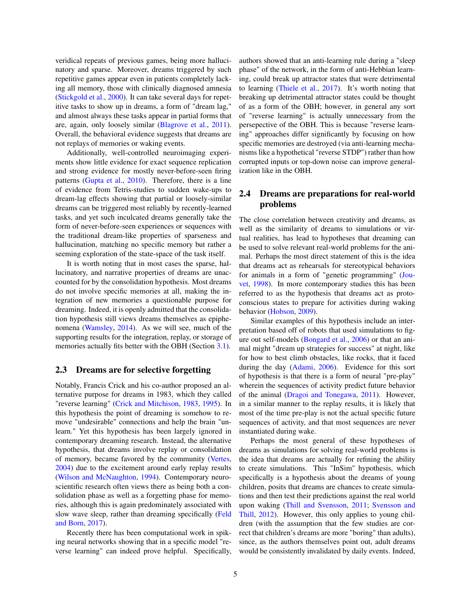veridical repeats of previous games, being more hallucinatory and sparse. Moreover, dreams triggered by such repetitive games appear even in patients completely lacking all memory, those with clinically diagnosed amnesia [\(Stickgold et al.,](#page-16-13) [2000\)](#page-16-13). It can take several days for repetitive tasks to show up in dreams, a form of "dream lag," and almost always these tasks appear in partial forms that are, again, only loosely similar [\(Blagrove et al.,](#page-12-11) [2011\)](#page-12-11). Overall, the behavioral evidence suggests that dreams are not replays of memories or waking events.

Additionally, well-controlled neuroimaging experiments show little evidence for exact sequence replication and strong evidence for mostly never-before-seen firing patterns [\(Gupta et al.,](#page-14-9) [2010\)](#page-14-9). Therefore, there is a line of evidence from Tetris-studies to sudden wake-ups to dream-lag effects showing that partial or loosely-similar dreams can be triggered most reliably by recently-learned tasks, and yet such inculcated dreams generally take the form of never-before-seen experiences or sequences with the traditional dream-like properties of sparseness and hallucination, matching no specific memory but rather a seeming exploration of the state-space of the task itself.

It is worth noting that in most cases the sparse, hallucinatory, and narrative properties of dreams are unaccounted for by the consolidation hypothesis. Most dreams do not involve specific memories at all, making the integration of new memories a questionable purpose for dreaming. Indeed, it is openly admitted that the consolidation hypothesis still views dreams themselves as epiphenomena [\(Wamsley,](#page-17-4) [2014\)](#page-17-4). As we will see, much of the supporting results for the integration, replay, or storage of memories actually fits better with the OBH (Section [3.1\)](#page-7-0).

#### 2.3 Dreams are for selective forgetting

Notably, Francis Crick and his co-author proposed an alternative purpose for dreams in 1983, which they called "reverse learning" [\(Crick and Mitchison,](#page-12-12) [1983,](#page-12-12) [1995\)](#page-12-13). In this hypothesis the point of dreaming is somehow to remove "undesirable" connections and help the brain "unlearn." Yet this hypothesis has been largely ignored in contemporary dreaming research. Instead, the alternative hypothesis, that dreams involve replay or consolidation of memory, became favored by the community [\(Vertes,](#page-17-7) [2004\)](#page-17-7) due to the excitement around early replay results [\(Wilson and McNaughton,](#page-17-6) [1994\)](#page-17-6). Contemporary neuroscientific research often views there as being both a consolidation phase as well as a forgetting phase for memories, although this is again predominately associated with slow wave sleep, rather than dreaming specifically [\(Feld](#page-13-10) [and Born,](#page-13-10) [2017\)](#page-13-10).

Recently there has been computational work in spiking neural networks showing that in a specific model "reverse learning" can indeed prove helpful. Specifically, authors showed that an anti-learning rule during a "sleep phase" of the network, in the form of anti-Hebbian learning, could break up attractor states that were detrimental to learning [\(Thiele et al.,](#page-16-14) [2017\)](#page-16-14). It's worth noting that breaking up detrimental attractor states could be thought of as a form of the OBH; however, in general any sort of "reverse learning" is actually unnecessary from the persepective of the OBH. This is because "reverse learning" approaches differ significantly by focusing on how specific memories are destroyed (via anti-learning mechanisms like a hypothetical "reverse STDP") rather than how corrupted inputs or top-down noise can improve generalization like in the OBH.

### 2.4 Dreams are preparations for real-world problems

The close correlation between creativity and dreams, as well as the similarity of dreams to simulations or virtual realities, has lead to hypotheses that dreaming can be used to solve relevant real-world problems for the animal. Perhaps the most direct statement of this is the idea that dreams act as rehearsals for stereotypical behaviors for animals in a form of "genetic programming" [\(Jou](#page-14-10)[vet,](#page-14-10) [1998\)](#page-14-10). In more contemporary studies this has been referred to as the hypothesis that dreams act as protoconscious states to prepare for activities during waking behavior [\(Hobson,](#page-14-11) [2009\)](#page-14-11).

Similar examples of this hypothesis include an interpretation based off of robots that used simulations to figure out self-models [\(Bongard et al.,](#page-12-14) [2006\)](#page-12-14) or that an animal might "dream up strategies for success" at night, like for how to best climb obstacles, like rocks, that it faced during the day [\(Adami,](#page-12-15) [2006\)](#page-12-15). Evidence for this sort of hypothesis is that there is a form of neural "pre-play" wherein the sequences of activity predict future behavior of the animal [\(Dragoi and Tonegawa,](#page-13-11) [2011\)](#page-13-11). However, in a similar manner to the replay results, it is likely that most of the time pre-play is not the actual specific future sequences of activity, and that most sequences are never instantiated during wake.

Perhaps the most general of these hypotheses of dreams as simulations for solving real-world problems is the idea that dreams are actually for refining the ability to create simulations. This "InSim" hypothesis, which specifically is a hypothesis about the dreams of young children, posits that dreams are chances to create simulations and then test their predictions against the real world upon waking [\(Thill and Svensson,](#page-16-15) [2011;](#page-16-15) [Svensson and](#page-16-16) [Thill,](#page-16-16) [2012\)](#page-16-16). However, this only applies to young children (with the assumption that the few studies are correct that children's dreams are more "boring" than adults), since, as the authors themselves point out, adult dreams would be consistently invalidated by daily events. Indeed,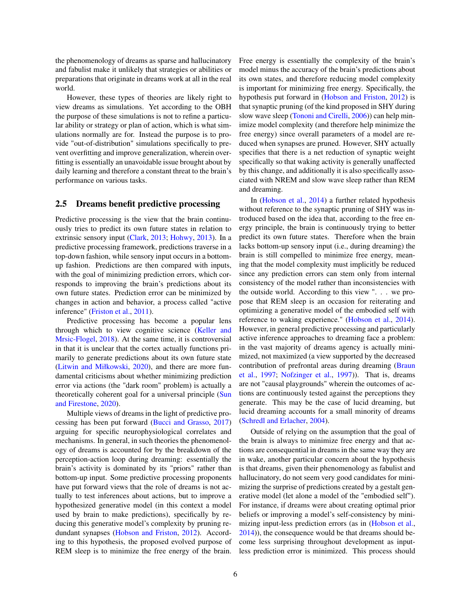the phenomenology of dreams as sparse and hallucinatory and fabulist make it unlikely that strategies or abilities or preparations that originate in dreams work at all in the real world.

However, these types of theories are likely right to view dreams as simulations. Yet according to the OBH the purpose of these simulations is not to refine a particular ability or strategy or plan of action, which is what simulations normally are for. Instead the purpose is to provide "out-of-distribution" simulations specifically to prevent overfitting and improve generalization, wherein overfitting is essentially an unavoidable issue brought about by daily learning and therefore a constant threat to the brain's performance on various tasks.

#### <span id="page-5-0"></span>2.5 Dreams benefit predictive processing

Predictive processing is the view that the brain continuously tries to predict its own future states in relation to extrinsic sensory input [\(Clark,](#page-12-16) [2013;](#page-12-16) [Hohwy,](#page-14-12) [2013\)](#page-14-12). In a predictive processing framework, predictions traverse in a top-down fashion, while sensory input occurs in a bottomup fashion. Predictions are then compared with inputs, with the goal of minimizing prediction errors, which corresponds to improving the brain's predictions about its own future states. Prediction error can be minimized by changes in action and behavior, a process called "active inference" [\(Friston et al.,](#page-13-12) [2011\)](#page-13-12).

Predictive processing has become a popular lens through which to view cognitive science [\(Keller and](#page-14-13) [Mrsic-Flogel,](#page-14-13) [2018\)](#page-14-13). At the same time, it is controversial in that it is unclear that the cortex actually functions primarily to generate predictions about its own future state [\(Litwin and Miłkowski,](#page-15-11) [2020\)](#page-15-11), and there are more fundamental criticisms about whether minimizing prediction error via actions (the "dark room" problem) is actually a theoretically coherent goal for a universal principle [\(Sun](#page-16-17) [and Firestone,](#page-16-17) [2020\)](#page-16-17).

Multiple views of dreams in the light of predictive processing has been put forward [\(Bucci and Grasso,](#page-12-17) [2017\)](#page-12-17) arguing for specific neurophysiological correlates and mechanisms. In general, in such theories the phenomenology of dreams is accounted for by the breakdown of the perception-action loop during dreaming: essentially the brain's activity is dominated by its "priors" rather than bottom-up input. Some predictive processing proponents have put forward views that the role of dreams is not actually to test inferences about actions, but to improve a hypothesized generative model (in this context a model used by brain to make predictions), specifically by reducing this generative model's complexity by pruning redundant synapses [\(Hobson and Friston,](#page-14-14) [2012\)](#page-14-14). According to this hypothesis, the proposed evolved purpose of REM sleep is to minimize the free energy of the brain. Free energy is essentially the complexity of the brain's model minus the accuracy of the brain's predictions about its own states, and therefore reducing model complexity is important for minimizing free energy. Specifically, the hypothesis put forward in [\(Hobson and Friston,](#page-14-14) [2012\)](#page-14-14) is that synaptic pruning (of the kind proposed in SHY during slow wave sleep [\(Tononi and Cirelli,](#page-17-3) [2006\)](#page-17-3)) can help minimize model complexity (and therefore help minimize the free energy) since overall parameters of a model are reduced when synapses are pruned. However, SHY actually specifies that there is a net reduction of synaptic weight specifically so that waking activity is generally unaffected by this change, and additionally it is also specifically associated with NREM and slow wave sleep rather than REM and dreaming.

In [\(Hobson et al.,](#page-14-15) [2014\)](#page-14-15) a further related hypothesis without reference to the synaptic pruning of SHY was introduced based on the idea that, according to the free energy principle, the brain is continuously trying to better predict its own future states. Therefore when the brain lacks bottom-up sensory input (i.e., during dreaming) the brain is still compelled to minimize free energy, meaning that the model complexity must implicitly be reduced since any prediction errors can stem only from internal consistency of the model rather than inconsistencies with the outside world. According to this view ". . . we propose that REM sleep is an occasion for reiterating and optimizing a generative model of the embodied self with reference to waking experience." [\(Hobson et al.,](#page-14-15) [2014\)](#page-14-15). However, in general predictive processing and particularly active inference approaches to dreaming face a problem: in the vast majority of dreams agency is actually minimized, not maximized (a view supported by the decreased contribution of prefrontal areas during dreaming [\(Braun](#page-12-18) [et al.,](#page-12-18) [1997;](#page-12-18) [Nofzinger et al.,](#page-15-12) [1997\)](#page-15-12)). That is, dreams are not "causal playgrounds" wherein the outcomes of actions are continuously tested against the perceptions they generate. This may be the case of lucid dreaming, but lucid dreaming accounts for a small minority of dreams [\(Schredl and Erlacher,](#page-16-18) [2004\)](#page-16-18).

Outside of relying on the assumption that the goal of the brain is always to minimize free energy and that actions are consequential in dreams in the same way they are in wake, another particular concern about the hypothesis is that dreams, given their phenomenology as fabulist and hallucinatory, do not seem very good candidates for minimizing the surprise of predictions created by a gestalt generative model (let alone a model of the "embodied self"). For instance, if dreams were about creating optimal prior beliefs or improving a model's self-consistency by minimizing input-less prediction errors (as in [\(Hobson et al.,](#page-14-15) [2014\)](#page-14-15)), the consequence would be that dreams should become less surprising throughout development as inputless prediction error is minimized. This process should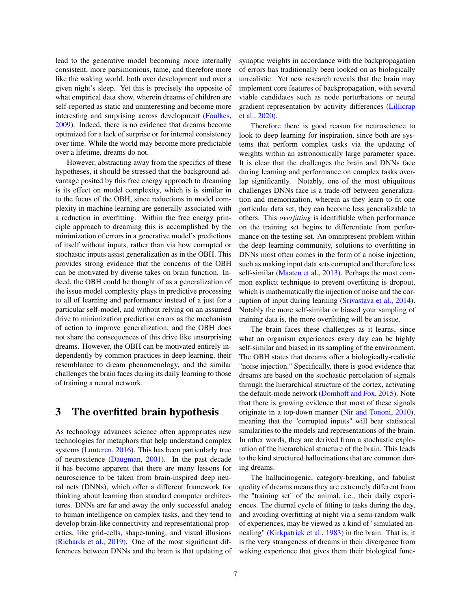lead to the generative model becoming more internally consistent, more parsimonious, tame, and therefore more like the waking world, both over development and over a given night's sleep. Yet this is precisely the opposite of what empirical data show, wherein dreams of children are self-reported as static and uninteresting and become more interesting and surprising across development [\(Foulkes,](#page-13-13) [2009\)](#page-13-13). Indeed, there is no evidence that dreams become optimized for a lack of surprise or for internal consistency over time. While the world may become more predictable over a lifetime, dreams do not.

However, abstracting away from the specifics of these hypotheses, it should be stressed that the background advantage posited by this free energy approach to dreaming is its effect on model complexity, which is is similar in to the focus of the OBH, since reductions in model complexity in machine learning are generally associated with a reduction in overfitting. Within the free energy principle approach to dreaming this is accomplished by the minimization of errors in a generative model's predictions of itself without inputs, rather than via how corrupted or stochastic inputs assist generalization as in the OBH. This provides strong evidence that the concerns of the OBH can be motivated by diverse takes on brain function. Indeed, the OBH could be thought of as a generalization of the issue model complexity plays in predictive processing to all of learning and performance instead of a just for a particular self-model, and without relying on an assumed drive to minimization prediction errors as the mechanism of action to improve generalization, and the OBH does not share the consequences of this drive like unsurprising dreams. However, the OBH can be motivated entirely independently by common practices in deep learning, their resemblance to dream phenomenology, and the similar challenges the brain faces during its daily learning to those of training a neural network.

### 3 The overfitted brain hypothesis

As technology advances science often appropriates new technologies for metaphors that help understand complex systems [\(Lunteren,](#page-15-13) [2016\)](#page-15-13). This has been particularly true of neuroscience [\(Daugman,](#page-12-19) [2001\)](#page-12-19). In the past decade it has become apparent that there are many lessons for neuroscience to be taken from brain-inspired deep neural nets (DNNs), which offer a different framework for thinking about learning than standard computer architectures. DNNs are far and away the only successful analog to human intelligence on complex tasks, and they tend to develop brain-like connectivity and representational properties, like grid-cells, shape-tuning, and visual illusions [\(Richards et al.,](#page-15-14) [2019\)](#page-15-14). One of the most significant differences between DNNs and the brain is that updating of synaptic weights in accordance with the backpropagation of errors has traditionally been looked on as biologically unrealistic. Yet new research reveals that the brain may implement core features of backpropagation, with several viable candidates such as node perturbations or neural gradient representation by activity differences [\(Lillicrap](#page-15-15) [et al.,](#page-15-15) [2020\)](#page-15-15).

Therefore there is good reason for neuroscience to look to deep learning for inspiration, since both are systems that perform complex tasks via the updating of weights within an astronomically large parameter space. It is clear that the challenges the brain and DNNs face during learning and performance on complex tasks overlap significantly. Notably, one of the most ubiquitous challenges DNNs face is a trade-off between generalization and memorization, wherein as they learn to fit one particular data set, they can become less generalizable to others. This *overfitting* is identifiable when performance on the training set begins to differentiate from performance on the testing set. An omnipresent problem within the deep learning community, solutions to overfitting in DNNs most often comes in the form of a noise injection, such as making input data sets corrupted and therefore less self-similar [\(Maaten et al.,](#page-15-16) [2013\)](#page-15-16). Perhaps the most common explicit technique to prevent overfitting is dropout, which is mathematically the injection of noise and the corruption of input during learning [\(Srivastava et al.,](#page-16-19) [2014\)](#page-16-19). Notably the more self-similar or biased your sampling of training data is, the more overfitting will be an issue.

The brain faces these challenges as it learns, since what an organism experiences every day can be highly self-similar and biased in its sampling of the environment. The OBH states that dreams offer a biologically-realistic "noise injection." Specifically, there is good evidence that dreams are based on the stochastic percolation of signals through the hierarchical structure of the cortex, activating the default-mode network [\(Domhoff and Fox,](#page-12-20) [2015\)](#page-12-20). Note that there is growing evidence that most of these signals originate in a top-down manner [\(Nir and Tononi,](#page-15-17) [2010\)](#page-15-17), meaning that the "corrupted inputs" will bear statistical similarities to the models and representations of the brain. In other words, they are derived from a stochastic exploration of the hierarchical structure of the brain. This leads to the kind structured hallucinations that are common during dreams.

The hallucinogenic, category-breaking, and fabulist quality of dreams means they are extremely different from the "training set" of the animal, i.e., their daily experiences. The diurnal cycle of fitting to tasks during the day, and avoiding overfitting at night via a semi-random walk of experiences, may be viewed as a kind of "simulated annealing" [\(Kirkpatrick et al.,](#page-14-16) [1983\)](#page-14-16) in the brain. That is, it is the very strangeness of dreams in their divergence from waking experience that gives them their biological func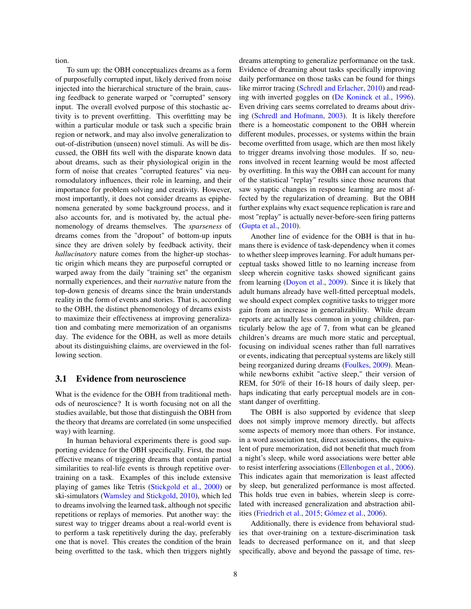tion.

To sum up: the OBH conceptualizes dreams as a form of purposefully corrupted input, likely derived from noise injected into the hierarchical structure of the brain, causing feedback to generate warped or "corrupted" sensory input. The overall evolved purpose of this stochastic activity is to prevent overfitting. This overfitting may be within a particular module or task such a specific brain region or network, and may also involve generalization to out-of-distribution (unseen) novel stimuli. As will be discussed, the OBH fits well with the disparate known data about dreams, such as their physiological origin in the form of noise that creates "corrupted features" via neuromodulatory influences, their role in learning, and their importance for problem solving and creativity. However, most importantly, it does not consider dreams as epiphenomena generated by some background process, and it also accounts for, and is motivated by, the actual phenomenology of dreams themselves. The *sparseness* of dreams comes from the "dropout" of bottom-up inputs since they are driven solely by feedback activity, their *hallucinatory* nature comes from the higher-up stochastic origin which means they are purposeful corrupted or warped away from the daily "training set" the organism normally experiences, and their *narrative* nature from the top-down genesis of dreams since the brain understands reality in the form of events and stories. That is, according to the OBH, the distinct phenomenology of dreams exists to maximize their effectiveness at improving generalization and combating mere memorization of an organisms day. The evidence for the OBH, as well as more details about its distinguishing claims, are overviewed in the following section.

#### <span id="page-7-0"></span>3.1 Evidence from neuroscience

What is the evidence for the OBH from traditional methods of neuroscience? It is worth focusing not on all the studies available, but those that distinguish the OBH from the theory that dreams are correlated (in some unspecified way) with learning.

In human behavioral experiments there is good supporting evidence for the OBH specifically. First, the most effective means of triggering dreams that contain partial similarities to real-life events is through repetitive overtraining on a task. Examples of this include extensive playing of games like Tetris [\(Stickgold et al.,](#page-16-13) [2000\)](#page-16-13) or ski-simulators [\(Wamsley and Stickgold,](#page-17-8) [2010\)](#page-17-8), which led to dreams involving the learned task, although not specific repetitions or replays of memories. Put another way: the surest way to trigger dreams about a real-world event is to perform a task repetitively during the day, preferably one that is novel. This creates the condition of the brain being overfitted to the task, which then triggers nightly dreams attempting to generalize performance on the task. Evidence of dreaming about tasks specifically improving daily performance on those tasks can be found for things like mirror tracing [\(Schredl and Erlacher,](#page-16-20) [2010\)](#page-16-20) and reading with inverted goggles on [\(De Koninck et al.,](#page-12-21) [1996\)](#page-12-21). Even driving cars seems correlated to dreams about driving [\(Schredl and Hofmann,](#page-16-21) [2003\)](#page-16-21). It is likely therefore there is a homeostatic component to the OBH wherein different modules, processes, or systems within the brain become overfitted from usage, which are then most likely to trigger dreams involving those modules. If so, neurons involved in recent learning would be most affected by overfitting. In this way the OBH can account for many of the statistical "replay" results since those neurons that saw synaptic changes in response learning are most affected by the regularization of dreaming. But the OBH further explains why exact sequence replication is rare and most "replay" is actually never-before-seen firing patterns [\(Gupta et al.,](#page-14-9) [2010\)](#page-14-9).

Another line of evidence for the OBH is that in humans there is evidence of task-dependency when it comes to whether sleep improves learning. For adult humans perceptual tasks showed little to no learning increase from sleep wherein cognitive tasks showed significant gains from learning [\(Doyon et al.,](#page-13-14) [2009\)](#page-13-14). Since it is likely that adult humans already have well-fitted perceptual models, we should expect complex cognitive tasks to trigger more gain from an increase in generalizability. While dream reports are actually less common in young children, particularly below the age of 7, from what can be gleaned children's dreams are much more static and perceptual, focusing on individual scenes rather than full narratives or events, indicating that perceptual systems are likely still being reorganized during dreams [\(Foulkes,](#page-13-13) [2009\)](#page-13-13). Meanwhile newborns exhibit "active sleep," their version of REM, for 50% of their 16-18 hours of daily sleep, perhaps indicating that early perceptual models are in constant danger of overfitting.

The OBH is also supported by evidence that sleep does not simply improve memory directly, but affects some aspects of memory more than others. For instance, in a word association test, direct associations, the equivalent of pure memorization, did not benefit that much from a night's sleep, while word associations were better able to resist interfering associations [\(Ellenbogen et al.,](#page-13-15) [2006\)](#page-13-15). This indicates again that memorization is least affected by sleep, but generalized performance is most affected. This holds true even in babies, wherein sleep is correlated with increased generalization and abstraction abilities [\(Friedrich et al.,](#page-13-16) [2015;](#page-13-16) [Gómez et al.,](#page-13-17) [2006\)](#page-13-17).

Additionally, there is evidence from behavioral studies that over-training on a texture-discrimination task leads to decreased performance on it, and that sleep specifically, above and beyond the passage of time, res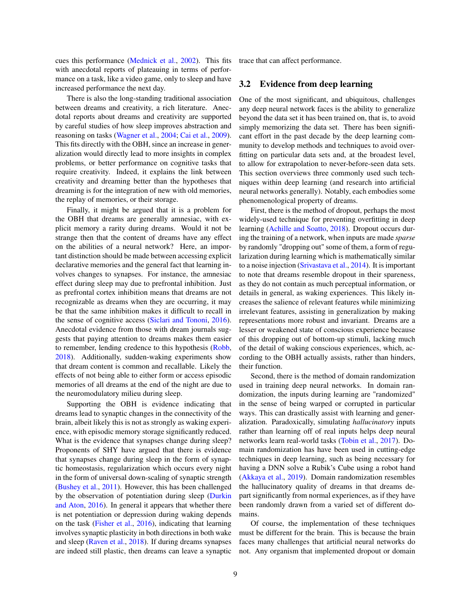cues this performance [\(Mednick et al.,](#page-15-18) [2002\)](#page-15-18). This fits with anecdotal reports of plateauing in terms of performance on a task, like a video game, only to sleep and have increased performance the next day.

There is also the long-standing traditional association between dreams and creativity, a rich literature. Anecdotal reports about dreams and creativity are supported by careful studies of how sleep improves abstraction and reasoning on tasks [\(Wagner et al.,](#page-17-9) [2004;](#page-17-9) [Cai et al.,](#page-12-22) [2009\)](#page-12-22). This fits directly with the OBH, since an increase in generalization would directly lead to more insights in complex problems, or better performance on cognitive tasks that require creativity. Indeed, it explains the link between creativity and dreaming better than the hypotheses that dreaming is for the integration of new with old memories, the replay of memories, or their storage.

Finally, it might be argued that it is a problem for the OBH that dreams are generally amnesiac, with explicit memory a rarity during dreams. Would it not be strange then that the content of dreams have any effect on the abilities of a neural network? Here, an important distinction should be made between accessing explicit declarative memories and the general fact that learning involves changes to synapses. For instance, the amnesiac effect during sleep may due to prefrontal inhibition. Just as prefrontal cortex inhibition means that dreams are not recognizable as dreams when they are occurring, it may be that the same inhibition makes it difficult to recall in the sense of cognitive access [\(Siclari and Tononi,](#page-16-4) [2016\)](#page-16-4). Anecdotal evidence from those with dream journals suggests that paying attention to dreams makes them easier to remember, lending credence to this hypothesis [\(Robb,](#page-15-0) [2018\)](#page-15-0). Additionally, sudden-waking experiments show that dream content is common and recallable. Likely the effects of not being able to either form or access episodic memories of all dreams at the end of the night are due to the neuromodulatory milieu during sleep.

Supporting the OBH is evidence indicating that dreams lead to synaptic changes in the connectivity of the brain, albeit likely this is not as strongly as waking experience, with episodic memory storage significantly reduced. What is the evidence that synapses change during sleep? Proponents of SHY have argued that there is evidence that synapses change during sleep in the form of synaptic homeostasis, regularization which occurs every night in the form of universal down-scaling of synaptic strength [\(Bushey et al.,](#page-12-5) [2011\)](#page-12-5). However, this has been challenged by the observation of potentiation during sleep [\(Durkin](#page-13-18) [and Aton,](#page-13-18) [2016\)](#page-13-18). In general it appears that whether there is net potentiation or depression during waking depends on the task [\(Fisher et al.,](#page-13-19) [2016\)](#page-13-19), indicating that learning involves synaptic plasticity in both directions in both wake and sleep [\(Raven et al.,](#page-15-19) [2018\)](#page-15-19). If during dreams synapses are indeed still plastic, then dreams can leave a synaptic trace that can affect performance.

### <span id="page-8-0"></span>3.2 Evidence from deep learning

One of the most significant, and ubiquitous, challenges any deep neural network faces is the ability to generalize beyond the data set it has been trained on, that is, to avoid simply memorizing the data set. There has been significant effort in the past decade by the deep learning community to develop methods and techniques to avoid overfitting on particular data sets and, at the broadest level, to allow for extrapolation to never-before-seen data sets. This section overviews three commonly used such techniques within deep learning (and research into artificial neural networks generally). Notably, each embodies some phenomenological property of dreams.

First, there is the method of dropout, perhaps the most widely-used technique for preventing overfitting in deep learning [\(Achille and Soatto,](#page-11-0) [2018\)](#page-11-0). Dropout occurs during the training of a network, when inputs are made *sparse* by randomly "dropping out" some of them, a form of regularization during learning which is mathematically similar to a noise injection [\(Srivastava et al.,](#page-16-19) [2014\)](#page-16-19). It is important to note that dreams resemble dropout in their spareness, as they do not contain as much perceptual information, or details in general, as waking experiences. This likely increases the salience of relevant features while minimizing irrelevant features, assisting in generalization by making representations more robust and invariant. Dreams are a lesser or weakened state of conscious experience because of this dropping out of bottom-up stimuli, lacking much of the detail of waking conscious experiences, which, according to the OBH actually assists, rather than hinders, their function.

Second, there is the method of domain randomization used in training deep neural networks. In domain randomization, the inputs during learning are "randomized" in the sense of being warped or corrupted in particular ways. This can drastically assist with learning and generalization. Paradoxically, simulating *hallucinatory* inputs rather than learning off of real inputs helps deep neural networks learn real-world tasks [\(Tobin et al.,](#page-16-22) [2017\)](#page-16-22). Domain randomization has have been used in cutting-edge techniques in deep learning, such as being necessary for having a DNN solve a Rubik's Cube using a robot hand [\(Akkaya et al.,](#page-12-23) [2019\)](#page-12-23). Domain randomization resembles the hallucinatory quality of dreams in that dreams depart significantly from normal experiences, as if they have been randomly drawn from a varied set of different domains.

Of course, the implementation of these techniques must be different for the brain. This is because the brain faces many challenges that artificial neural networks do not. Any organism that implemented dropout or domain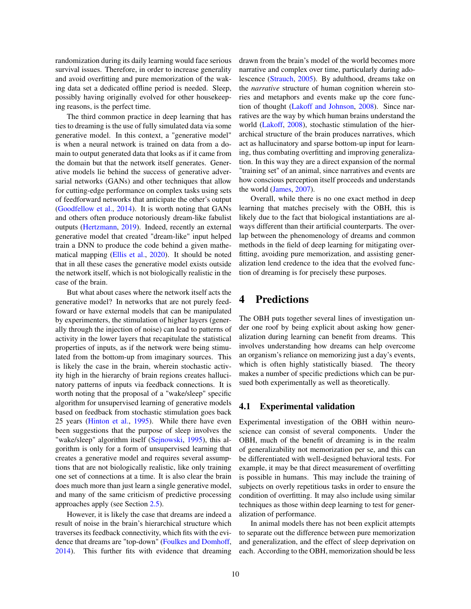randomization during its daily learning would face serious survival issues. Therefore, in order to increase generality and avoid overfitting and pure memorization of the waking data set a dedicated offline period is needed. Sleep, possibly having originally evolved for other housekeeping reasons, is the perfect time.

The third common practice in deep learning that has ties to dreaming is the use of fully simulated data via some generative model. In this context, a "generative model" is when a neural network is trained on data from a domain to output generated data that looks as if it came from the domain but that the network itself generates. Generative models lie behind the success of generative adversarial networks (GANs) and other techniques that allow for cutting-edge performance on complex tasks using sets of feedforward networks that anticipate the other's output [\(Goodfellow et al.,](#page-13-20) [2014\)](#page-13-20). It is worth noting that GANs and others often produce notoriously dream-like fabulist outputs [\(Hertzmann,](#page-14-17) [2019\)](#page-14-17). Indeed, recently an external generative model that created "dream-like" input helped train a DNN to produce the code behind a given mathematical mapping [\(Ellis et al.,](#page-13-21) [2020\)](#page-13-21). It should be noted that in all these cases the generative model exists outside the network itself, which is not biologically realistic in the case of the brain.

But what about cases where the network itself acts the generative model? In networks that are not purely feedfoward or have external models that can be manipulated by experimenters, the stimulation of higher layers (generally through the injection of noise) can lead to patterns of activity in the lower layers that recapitulate the statistical properties of inputs, as if the network were being stimulated from the bottom-up from imaginary sources. This is likely the case in the brain, wherein stochastic activity high in the hierarchy of brain regions creates hallucinatory patterns of inputs via feedback connections. It is worth noting that the proposal of a "wake/sleep" specific algorithm for unsupervised learning of generative models based on feedback from stochastic stimulation goes back 25 years [\(Hinton et al.,](#page-14-18) [1995\)](#page-14-18). While there have even been suggestions that the purpose of sleep involves the "wake/sleep" algorithm itself [\(Sejnowski,](#page-16-23) [1995\)](#page-16-23), this algorithm is only for a form of unsupervised learning that creates a generative model and requires several assumptions that are not biologically realistic, like only training one set of connections at a time. It is also clear the brain does much more than just learn a single generative model, and many of the same criticism of predictive processing approaches apply (see Section [2.5\)](#page-5-0).

However, it is likely the case that dreams are indeed a result of noise in the brain's hierarchical structure which traverses its feedback connectivity, which fits with the evidence that dreams are "top-down" [\(Foulkes and Domhoff,](#page-13-22) [2014\)](#page-13-22). This further fits with evidence that dreaming drawn from the brain's model of the world becomes more narrative and complex over time, particularly during adolescence [\(Strauch,](#page-16-24) [2005\)](#page-16-24). By adulthood, dreams take on the *narrative* structure of human cognition wherein stories and metaphors and events make up the core function of thought [\(Lakoff and Johnson,](#page-14-19) [2008\)](#page-14-19). Since narratives are the way by which human brains understand the world [\(Lakoff,](#page-14-20) [2008\)](#page-14-20), stochastic stimulation of the hierarchical structure of the brain produces narratives, which act as hallucinatory and sparse bottom-up input for learning, thus combating overfitting and improving generalization. In this way they are a direct expansion of the normal "training set" of an animal, since narratives and events are how conscious perception itself proceeds and understands the world [\(James,](#page-14-21) [2007\)](#page-14-21).

Overall, while there is no one exact method in deep learning that matches precisely with the OBH, this is likely due to the fact that biological instantiations are always different than their artificial counterparts. The overlap between the phenomenology of dreams and common methods in the field of deep learning for mitigating overfitting, avoiding pure memorization, and assisting generalization lend credence to the idea that the evolved function of dreaming is for precisely these purposes.

## 4 Predictions

The OBH puts together several lines of investigation under one roof by being explicit about asking how generalization during learning can benefit from dreams. This involves understanding how dreams can help overcome an organism's reliance on memorizing just a day's events, which is often highly statistically biased. The theory makes a number of specific predictions which can be pursued both experimentally as well as theoretically.

#### 4.1 Experimental validation

Experimental investigation of the OBH within neuroscience can consist of several components. Under the OBH, much of the benefit of dreaming is in the realm of generalizability not memorization per se, and this can be differentiated with well-designed behavioral tests. For example, it may be that direct measurement of overfitting is possible in humans. This may include the training of subjects on overly repetitious tasks in order to ensure the condition of overfitting. It may also include using similar techniques as those within deep learning to test for generalization of performance.

In animal models there has not been explicit attempts to separate out the difference between pure memorization and generalization, and the effect of sleep deprivation on each. According to the OBH, memorization should be less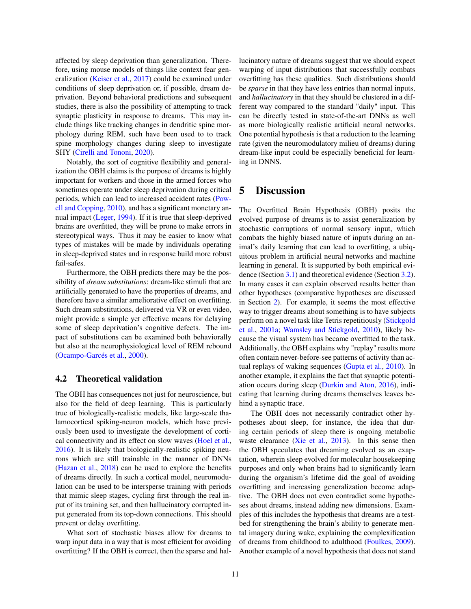affected by sleep deprivation than generalization. Therefore, using mouse models of things like context fear generalization [\(Keiser et al.,](#page-14-22) [2017\)](#page-14-22) could be examined under conditions of sleep deprivation or, if possible, dream deprivation. Beyond behavioral predictions and subsequent studies, there is also the possibility of attempting to track synaptic plasticity in response to dreams. This may include things like tracking changes in dendritic spine morphology during REM, such have been used to to track spine morphology changes during sleep to investigate SHY [\(Cirelli and Tononi,](#page-12-24) [2020\)](#page-12-24).

Notably, the sort of cognitive flexibility and generalization the OBH claims is the purpose of dreams is highly important for workers and those in the armed forces who sometimes operate under sleep deprivation during critical periods, which can lead to increased accident rates [\(Pow](#page-15-20)[ell and Copping,](#page-15-20) [2010\)](#page-15-20), and has a significant monetary annual impact [\(Leger,](#page-15-21) [1994\)](#page-15-21). If it is true that sleep-deprived brains are overfitted, they will be prone to make errors in stereotypical ways. Thus it may be easier to know what types of mistakes will be made by individuals operating in sleep-deprived states and in response build more robust fail-safes.

Furthermore, the OBH predicts there may be the possibility of *dream substitutions*: dream-like stimuli that are artificially generated to have the properties of dreams, and therefore have a similar ameliorative effect on overfitting. Such dream substitutions, delivered via VR or even video, might provide a simple yet effective means for delaying some of sleep deprivation's cognitive defects. The impact of substitutions can be examined both behaviorally but also at the neurophysiological level of REM rebound [\(Ocampo-Garcés et al.,](#page-15-22) [2000\)](#page-15-22).

#### 4.2 Theoretical validation

The OBH has consequences not just for neuroscience, but also for the field of deep learning. This is particularly true of biologically-realistic models, like large-scale thalamocortical spiking-neuron models, which have previously been used to investigate the development of cortical connectivity and its effect on slow waves [\(Hoel et al.,](#page-14-23) [2016\)](#page-14-23). It is likely that biologically-realistic spiking neurons which are still trainable in the manner of DNNs [\(Hazan et al.,](#page-14-24) [2018\)](#page-14-24) can be used to explore the benefits of dreams directly. In such a cortical model, neuromodulation can be used to be intersperse training with periods that mimic sleep stages, cycling first through the real input of its training set, and then hallucinatory corrupted input generated from its top-down connections. This should prevent or delay overfitting.

What sort of stochastic biases allow for dreams to warp input data in a way that is most efficient for avoiding overfitting? If the OBH is correct, then the sparse and hallucinatory nature of dreams suggest that we should expect warping of input distributions that successfully combats overfitting has these qualities. Such distributions should be *sparse* in that they have less entries than normal inputs, and *hallucinatory* in that they should be clustered in a different way compared to the standard "daily" input. This can be directly tested in state-of-the-art DNNs as well as more biologically realistic artificial neural networks. One potential hypothesis is that a reduction to the learning rate (given the neuromodulatory milieu of dreams) during dream-like input could be especially beneficial for learning in DNNS.

### 5 Discussion

The Overfitted Brain Hypothesis (OBH) posits the evolved purpose of dreams is to assist generalization by stochastic corruptions of normal sensory input, which combats the highly biased nature of inputs during an animal's daily learning that can lead to overfitting, a ubiquitous problem in artificial neural networks and machine learning in general. It is supported by both empirical evidence (Section [3.1\)](#page-7-0) and theoretical evidence (Section [3.2\)](#page-8-0). In many cases it can explain observed results better than other hypotheses (comparative hypotheses are discussed in Section [2\)](#page-2-0). For example, it seems the most effective way to trigger dreams about something is to have subjects perform on a novel task like Tetris repetitiously [\(Stickgold](#page-16-12) [et al.,](#page-16-12) [2001a;](#page-16-12) [Wamsley and Stickgold,](#page-17-8) [2010\)](#page-17-8), likely because the visual system has became overfitted to the task. Additionally, the OBH explains why "replay" results more often contain never-before-see patterns of activity than actual replays of waking sequences [\(Gupta et al.,](#page-14-9) [2010\)](#page-14-9). In another example, it explains the fact that synaptic potentiation occurs during sleep [\(Durkin and Aton,](#page-13-18) [2016\)](#page-13-18), indicating that learning during dreams themselves leaves behind a synaptic trace.

The OBH does not necessarily contradict other hypotheses about sleep, for instance, the idea that during certain periods of sleep there is ongoing metabolic waste clearance [\(Xie et al.,](#page-17-2) [2013\)](#page-17-2). In this sense then the OBH speculates that dreaming evolved as an exaptation, wherein sleep evolved for molecular housekeeping purposes and only when brains had to significantly learn during the organism's lifetime did the goal of avoiding overfitting and increasing generalization become adaptive. The OBH does not even contradict some hypotheses about dreams, instead adding new dimensions. Examples of this includes the hypothesis that dreams are a testbed for strengthening the brain's ability to generate mental imagery during wake, explaining the complexification of dreams from childhood to adulthood [\(Foulkes,](#page-13-13) [2009\)](#page-13-13). Another example of a novel hypothesis that does not stand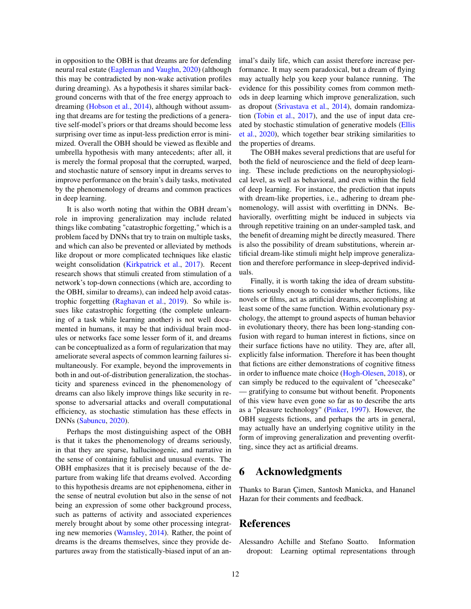in opposition to the OBH is that dreams are for defending neural real estate [\(Eagleman and Vaughn,](#page-13-23) [2020\)](#page-13-23) (although this may be contradicted by non-wake activation profiles during dreaming). As a hypothesis it shares similar background concerns with that of the free energy approach to dreaming [\(Hobson et al.,](#page-14-15) [2014\)](#page-14-15), although without assuming that dreams are for testing the predictions of a generative self-model's priors or that dreams should become less surprising over time as input-less prediction error is minimized. Overall the OBH should be viewed as flexible and umbrella hypothesis with many antecedents; after all, it is merely the formal proposal that the corrupted, warped, and stochastic nature of sensory input in dreams serves to improve performance on the brain's daily tasks, motivated by the phenomenology of dreams and common practices in deep learning.

It is also worth noting that within the OBH dream's role in improving generalization may include related things like combating "catastrophic forgetting," which is a problem faced by DNNs that try to train on multiple tasks, and which can also be prevented or alleviated by methods like dropout or more complicated techniques like elastic weight consolidation [\(Kirkpatrick et al.,](#page-14-25) [2017\)](#page-14-25). Recent research shows that stimuli created from stimulation of a network's top-down connections (which are, according to the OBH, similar to dreams), can indeed help avoid catastrophic forgetting [\(Raghavan et al.,](#page-15-23) [2019\)](#page-15-23). So while issues like catastrophic forgetting (the complete unlearning of a task while learning another) is not well documented in humans, it may be that individual brain modules or networks face some lesser form of it, and dreams can be conceptualized as a form of regularization that may ameliorate several aspects of common learning failures simultaneously. For example, beyond the improvements in both in and out-of-distribution generalization, the stochasticity and spareness evinced in the phenomenology of dreams can also likely improve things like security in response to adversarial attacks and overall computational efficiency, as stochastic stimulation has these effects in DNNs [\(Sabuncu,](#page-16-8) [2020\)](#page-16-8).

Perhaps the most distinguishing aspect of the OBH is that it takes the phenomenology of dreams seriously, in that they are sparse, hallucinogenic, and narrative in the sense of containing fabulist and unusual events. The OBH emphasizes that it is precisely because of the departure from waking life that dreams evolved. According to this hypothesis dreams are not epiphenomena, either in the sense of neutral evolution but also in the sense of not being an expression of some other background process, such as patterns of activity and associated experiences merely brought about by some other processing integrating new memories [\(Wamsley,](#page-17-4) [2014\)](#page-17-4). Rather, the point of dreams is the dreams themselves, since they provide departures away from the statistically-biased input of an animal's daily life, which can assist therefore increase performance. It may seem paradoxical, but a dream of flying may actually help you keep your balance running. The evidence for this possibility comes from common methods in deep learning which improve generalization, such as dropout [\(Srivastava et al.,](#page-16-19) [2014\)](#page-16-19), domain randomization [\(Tobin et al.,](#page-16-22) [2017\)](#page-16-22), and the use of input data created by stochastic stimulation of generative models [\(Ellis](#page-13-21) [et al.,](#page-13-21) [2020\)](#page-13-21), which together bear striking similarities to the properties of dreams.

The OBH makes several predictions that are useful for both the field of neuroscience and the field of deep learning. These include predictions on the neurophysiological level, as well as behavioral, and even within the field of deep learning. For instance, the prediction that inputs with dream-like properties, i.e., adhering to dream phenomenology, will assist with overfitting in DNNs. Behaviorally, overfitting might be induced in subjects via through repetitive training on an under-sampled task, and the benefit of dreaming might be directly measured. There is also the possibility of dream substitutions, wherein artificial dream-like stimuli might help improve generalization and therefore performance in sleep-deprived individuals.

Finally, it is worth taking the idea of dream substitutions seriously enough to consider whether fictions, like novels or films, act as artificial dreams, accomplishing at least some of the same function. Within evolutionary psychology, the attempt to ground aspects of human behavior in evolutionary theory, there has been long-standing confusion with regard to human interest in fictions, since on their surface fictions have no utility. They are, after all, explicitly false information. Therefore it has been thought that fictions are either demonstrations of cognitive fitness in order to influence mate choice [\(Hogh-Olesen,](#page-14-26) [2018\)](#page-14-26), or can simply be reduced to the equivalent of "cheesecake" — gratifying to consume but without benefit. Proponents of this view have even gone so far as to describe the arts as a "pleasure technology" [\(Pinker,](#page-15-24) [1997\)](#page-15-24). However, the OBH suggests fictions, and perhaps the arts in general, may actually have an underlying cognitive utility in the form of improving generalization and preventing overfitting, since they act as artificial dreams.

### 6 Acknowledgments

Thanks to Baran Çimen, Santosh Manicka, and Hananel Hazan for their comments and feedback.

### References

<span id="page-11-0"></span>Alessandro Achille and Stefano Soatto. Information dropout: Learning optimal representations through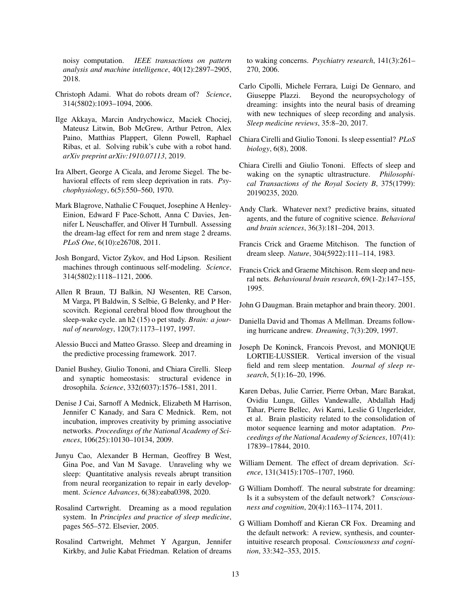noisy computation. *IEEE transactions on pattern analysis and machine intelligence*, 40(12):2897–2905, 2018.

- <span id="page-12-15"></span>Christoph Adami. What do robots dream of? *Science*, 314(5802):1093–1094, 2006.
- <span id="page-12-23"></span>Ilge Akkaya, Marcin Andrychowicz, Maciek Chociej, Mateusz Litwin, Bob McGrew, Arthur Petron, Alex Paino, Matthias Plappert, Glenn Powell, Raphael Ribas, et al. Solving rubik's cube with a robot hand. *arXiv preprint arXiv:1910.07113*, 2019.
- <span id="page-12-0"></span>Ira Albert, George A Cicala, and Jerome Siegel. The behavioral effects of rem sleep deprivation in rats. *Psychophysiology*, 6(5):550–560, 1970.
- <span id="page-12-11"></span>Mark Blagrove, Nathalie C Fouquet, Josephine A Henley-Einion, Edward F Pace-Schott, Anna C Davies, Jennifer L Neuschaffer, and Oliver H Turnbull. Assessing the dream-lag effect for rem and nrem stage 2 dreams. *PLoS One*, 6(10):e26708, 2011.
- <span id="page-12-14"></span>Josh Bongard, Victor Zykov, and Hod Lipson. Resilient machines through continuous self-modeling. *Science*, 314(5802):1118–1121, 2006.
- <span id="page-12-18"></span>Allen R Braun, TJ Balkin, NJ Wesenten, RE Carson, M Varga, Pl Baldwin, S Selbie, G Belenky, and P Herscovitch. Regional cerebral blood flow throughout the sleep-wake cycle. an h2 (15) o pet study. *Brain: a journal of neurology*, 120(7):1173–1197, 1997.
- <span id="page-12-17"></span>Alessio Bucci and Matteo Grasso. Sleep and dreaming in the predictive processing framework. 2017.
- <span id="page-12-5"></span>Daniel Bushey, Giulio Tononi, and Chiara Cirelli. Sleep and synaptic homeostasis: structural evidence in drosophila. *Science*, 332(6037):1576–1581, 2011.
- <span id="page-12-22"></span>Denise J Cai, Sarnoff A Mednick, Elizabeth M Harrison, Jennifer C Kanady, and Sara C Mednick. Rem, not incubation, improves creativity by priming associative networks. *Proceedings of the National Academy of Sciences*, 106(25):10130–10134, 2009.
- <span id="page-12-6"></span>Junyu Cao, Alexander B Herman, Geoffrey B West, Gina Poe, and Van M Savage. Unraveling why we sleep: Quantitative analysis reveals abrupt transition from neural reorganization to repair in early development. *Science Advances*, 6(38):eaba0398, 2020.
- <span id="page-12-7"></span>Rosalind Cartwright. Dreaming as a mood regulation system. In *Principles and practice of sleep medicine*, pages 565–572. Elsevier, 2005.
- <span id="page-12-8"></span>Rosalind Cartwright, Mehmet Y Agargun, Jennifer Kirkby, and Julie Kabat Friedman. Relation of dreams

to waking concerns. *Psychiatry research*, 141(3):261– 270, 2006.

- <span id="page-12-3"></span>Carlo Cipolli, Michele Ferrara, Luigi De Gennaro, and Giuseppe Plazzi. Beyond the neuropsychology of dreaming: insights into the neural basis of dreaming with new techniques of sleep recording and analysis. *Sleep medicine reviews*, 35:8–20, 2017.
- <span id="page-12-2"></span>Chiara Cirelli and Giulio Tononi. Is sleep essential? *PLoS biology*, 6(8), 2008.
- <span id="page-12-24"></span>Chiara Cirelli and Giulio Tononi. Effects of sleep and waking on the synaptic ultrastructure. *Philosophical Transactions of the Royal Society B*, 375(1799): 20190235, 2020.
- <span id="page-12-16"></span>Andy Clark. Whatever next? predictive brains, situated agents, and the future of cognitive science. *Behavioral and brain sciences*, 36(3):181–204, 2013.
- <span id="page-12-12"></span>Francis Crick and Graeme Mitchison. The function of dream sleep. *Nature*, 304(5922):111–114, 1983.
- <span id="page-12-13"></span>Francis Crick and Graeme Mitchison. Rem sleep and neural nets. *Behavioural brain research*, 69(1-2):147–155, 1995.
- <span id="page-12-19"></span>John G Daugman. Brain metaphor and brain theory. 2001.
- <span id="page-12-10"></span>Daniella David and Thomas A Mellman. Dreams following hurricane andrew. *Dreaming*, 7(3):209, 1997.
- <span id="page-12-21"></span>Joseph De Koninck, Francois Prevost, and MONIQUE LORTIE-LUSSIER. Vertical inversion of the visual field and rem sleep mentation. *Journal of sleep research*, 5(1):16–20, 1996.
- <span id="page-12-9"></span>Karen Debas, Julie Carrier, Pierre Orban, Marc Barakat, Ovidiu Lungu, Gilles Vandewalle, Abdallah Hadj Tahar, Pierre Bellec, Avi Karni, Leslie G Ungerleider, et al. Brain plasticity related to the consolidation of motor sequence learning and motor adaptation. *Proceedings of the National Academy of Sciences*, 107(41): 17839–17844, 2010.
- <span id="page-12-1"></span>William Dement. The effect of dream deprivation. *Science*, 131(3415):1705–1707, 1960.
- <span id="page-12-4"></span>G William Domhoff. The neural substrate for dreaming: Is it a subsystem of the default network? *Consciousness and cognition*, 20(4):1163–1174, 2011.
- <span id="page-12-20"></span>G William Domhoff and Kieran CR Fox. Dreaming and the default network: A review, synthesis, and counterintuitive research proposal. *Consciousness and cognition*, 33:342–353, 2015.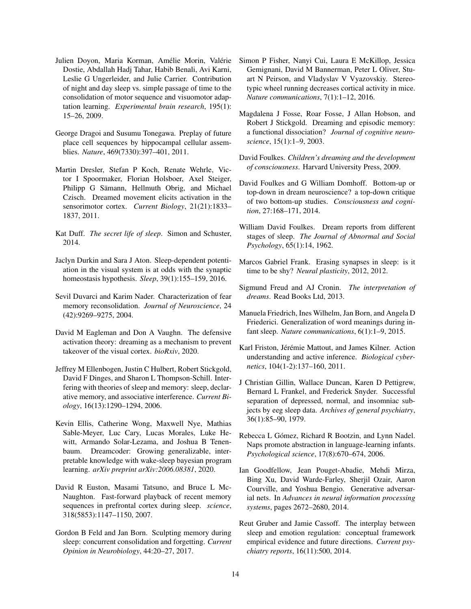- <span id="page-13-14"></span>Julien Doyon, Maria Korman, Amélie Morin, Valérie Dostie, Abdallah Hadj Tahar, Habib Benali, Avi Karni, Leslie G Ungerleider, and Julie Carrier. Contribution of night and day sleep vs. simple passage of time to the consolidation of motor sequence and visuomotor adaptation learning. *Experimental brain research*, 195(1): 15–26, 2009.
- <span id="page-13-11"></span>George Dragoi and Susumu Tonegawa. Preplay of future place cell sequences by hippocampal cellular assemblies. *Nature*, 469(7330):397–401, 2011.
- <span id="page-13-2"></span>Martin Dresler, Stefan P Koch, Renate Wehrle, Victor I Spoormaker, Florian Holsboer, Axel Steiger, Philipp G Sämann, Hellmuth Obrig, and Michael Czisch. Dreamed movement elicits activation in the sensorimotor cortex. *Current Biology*, 21(21):1833– 1837, 2011.
- <span id="page-13-1"></span>Kat Duff. *The secret life of sleep*. Simon and Schuster, 2014.
- <span id="page-13-18"></span>Jaclyn Durkin and Sara J Aton. Sleep-dependent potentiation in the visual system is at odds with the synaptic homeostasis hypothesis. *Sleep*, 39(1):155–159, 2016.
- <span id="page-13-8"></span>Sevil Duvarci and Karim Nader. Characterization of fear memory reconsolidation. *Journal of Neuroscience*, 24 (42):9269–9275, 2004.
- <span id="page-13-23"></span>David M Eagleman and Don A Vaughn. The defensive activation theory: dreaming as a mechanism to prevent takeover of the visual cortex. *bioRxiv*, 2020.
- <span id="page-13-15"></span>Jeffrey M Ellenbogen, Justin C Hulbert, Robert Stickgold, David F Dinges, and Sharon L Thompson-Schill. Interfering with theories of sleep and memory: sleep, declarative memory, and associative interference. *Current Biology*, 16(13):1290–1294, 2006.
- <span id="page-13-21"></span>Kevin Ellis, Catherine Wong, Maxwell Nye, Mathias Sable-Meyer, Luc Cary, Lucas Morales, Luke Hewitt, Armando Solar-Lezama, and Joshua B Tenenbaum. Dreamcoder: Growing generalizable, interpretable knowledge with wake-sleep bayesian program learning. *arXiv preprint arXiv:2006.08381*, 2020.
- <span id="page-13-7"></span>David R Euston, Masami Tatsuno, and Bruce L Mc-Naughton. Fast-forward playback of recent memory sequences in prefrontal cortex during sleep. *science*, 318(5853):1147–1150, 2007.
- <span id="page-13-10"></span>Gordon B Feld and Jan Born. Sculpting memory during sleep: concurrent consolidation and forgetting. *Current Opinion in Neurobiology*, 44:20–27, 2017.
- <span id="page-13-19"></span>Simon P Fisher, Nanyi Cui, Laura E McKillop, Jessica Gemignani, David M Bannerman, Peter L Oliver, Stuart N Peirson, and Vladyslav V Vyazovskiy. Stereotypic wheel running decreases cortical activity in mice. *Nature communications*, 7(1):1–12, 2016.
- <span id="page-13-9"></span>Magdalena J Fosse, Roar Fosse, J Allan Hobson, and Robert J Stickgold. Dreaming and episodic memory: a functional dissociation? *Journal of cognitive neuroscience*, 15(1):1–9, 2003.
- <span id="page-13-13"></span>David Foulkes. *Children's dreaming and the development of consciousness*. Harvard University Press, 2009.
- <span id="page-13-22"></span>David Foulkes and G William Domhoff. Bottom-up or top-down in dream neuroscience? a top-down critique of two bottom-up studies. *Consciousness and cognition*, 27:168–171, 2014.
- <span id="page-13-0"></span>William David Foulkes. Dream reports from different stages of sleep. *The Journal of Abnormal and Social Psychology*, 65(1):14, 1962.
- <span id="page-13-3"></span>Marcos Gabriel Frank. Erasing synapses in sleep: is it time to be shy? *Neural plasticity*, 2012, 2012.
- <span id="page-13-4"></span>Sigmund Freud and AJ Cronin. *The interpretation of dreams*. Read Books Ltd, 2013.
- <span id="page-13-16"></span>Manuela Friedrich, Ines Wilhelm, Jan Born, and Angela D Friederici. Generalization of word meanings during infant sleep. *Nature communications*, 6(1):1–9, 2015.
- <span id="page-13-12"></span>Karl Friston, Jérémie Mattout, and James Kilner. Action understanding and active inference. *Biological cybernetics*, 104(1-2):137–160, 2011.
- <span id="page-13-5"></span>J Christian Gillin, Wallace Duncan, Karen D Pettigrew, Bernard L Frankel, and Frederick Snyder. Successful separation of depressed, normal, and insomniac subjects by eeg sleep data. *Archives of general psychiatry*, 36(1):85–90, 1979.
- <span id="page-13-17"></span>Rebecca L Gómez, Richard R Bootzin, and Lynn Nadel. Naps promote abstraction in language-learning infants. *Psychological science*, 17(8):670–674, 2006.
- <span id="page-13-20"></span>Ian Goodfellow, Jean Pouget-Abadie, Mehdi Mirza, Bing Xu, David Warde-Farley, Sherjil Ozair, Aaron Courville, and Yoshua Bengio. Generative adversarial nets. In *Advances in neural information processing systems*, pages 2672–2680, 2014.
- <span id="page-13-6"></span>Reut Gruber and Jamie Cassoff. The interplay between sleep and emotion regulation: conceptual framework empirical evidence and future directions. *Current psychiatry reports*, 16(11):500, 2014.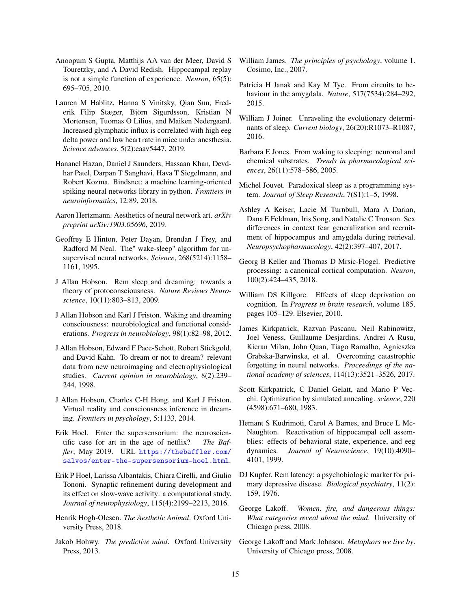- <span id="page-14-9"></span>Anoopum S Gupta, Matthijs AA van der Meer, David S Touretzky, and A David Redish. Hippocampal replay is not a simple function of experience. *Neuron*, 65(5): 695–705, 2010.
- <span id="page-14-2"></span>Lauren M Hablitz, Hanna S Vinitsky, Qian Sun, Frederik Filip Stæger, Björn Sigurdsson, Kristian N Mortensen, Tuomas O Lilius, and Maiken Nedergaard. Increased glymphatic influx is correlated with high eeg delta power and low heart rate in mice under anesthesia. *Science advances*, 5(2):eaav5447, 2019.
- <span id="page-14-24"></span>Hananel Hazan, Daniel J Saunders, Hassaan Khan, Devdhar Patel, Darpan T Sanghavi, Hava T Siegelmann, and Robert Kozma. Bindsnet: a machine learning-oriented spiking neural networks library in python. *Frontiers in neuroinformatics*, 12:89, 2018.
- <span id="page-14-17"></span>Aaron Hertzmann. Aesthetics of neural network art. *arXiv preprint arXiv:1903.05696*, 2019.
- <span id="page-14-18"></span>Geoffrey E Hinton, Peter Dayan, Brendan J Frey, and Radford M Neal. The" wake-sleep" algorithm for unsupervised neural networks. *Science*, 268(5214):1158– 1161, 1995.
- <span id="page-14-11"></span>J Allan Hobson. Rem sleep and dreaming: towards a theory of protoconsciousness. *Nature Reviews Neuroscience*, 10(11):803–813, 2009.
- <span id="page-14-14"></span>J Allan Hobson and Karl J Friston. Waking and dreaming consciousness: neurobiological and functional considerations. *Progress in neurobiology*, 98(1):82–98, 2012.
- <span id="page-14-4"></span>J Allan Hobson, Edward F Pace-Schott, Robert Stickgold, and David Kahn. To dream or not to dream? relevant data from new neuroimaging and electrophysiological studies. *Current opinion in neurobiology*, 8(2):239– 244, 1998.
- <span id="page-14-15"></span>J Allan Hobson, Charles C-H Hong, and Karl J Friston. Virtual reality and consciousness inference in dreaming. *Frontiers in psychology*, 5:1133, 2014.
- <span id="page-14-3"></span>Erik Hoel. Enter the supersensorium: the neuroscientific case for art in the age of netflix? *The Baffler*, May 2019. URL [https://thebaffler.com/](https://thebaffler.com/salvos/enter-the-supersensorium-hoel.html) [salvos/enter-the-supersensorium-hoel.html](https://thebaffler.com/salvos/enter-the-supersensorium-hoel.html).
- <span id="page-14-23"></span>Erik P Hoel, Larissa Albantakis, Chiara Cirelli, and Giulio Tononi. Synaptic refinement during development and its effect on slow-wave activity: a computational study. *Journal of neurophysiology*, 115(4):2199–2213, 2016.
- <span id="page-14-26"></span>Henrik Hogh-Olesen. *The Aesthetic Animal*. Oxford University Press, 2018.
- <span id="page-14-12"></span>Jakob Hohwy. *The predictive mind*. Oxford University Press, 2013.
- <span id="page-14-21"></span>William James. *The principles of psychology*, volume 1. Cosimo, Inc., 2007.
- <span id="page-14-5"></span>Patricia H Janak and Kay M Tye. From circuits to behaviour in the amygdala. *Nature*, 517(7534):284–292, 2015.
- <span id="page-14-1"></span>William J Joiner. Unraveling the evolutionary determinants of sleep. *Current biology*, 26(20):R1073–R1087, 2016.
- <span id="page-14-0"></span>Barbara E Jones. From waking to sleeping: neuronal and chemical substrates. *Trends in pharmacological sciences*, 26(11):578–586, 2005.
- <span id="page-14-10"></span>Michel Jouvet. Paradoxical sleep as a programming system. *Journal of Sleep Research*, 7(S1):1–5, 1998.
- <span id="page-14-22"></span>Ashley A Keiser, Lacie M Turnbull, Mara A Darian, Dana E Feldman, Iris Song, and Natalie C Tronson. Sex differences in context fear generalization and recruitment of hippocampus and amygdala during retrieval. *Neuropsychopharmacology*, 42(2):397–407, 2017.
- <span id="page-14-13"></span>Georg B Keller and Thomas D Mrsic-Flogel. Predictive processing: a canonical cortical computation. *Neuron*, 100(2):424–435, 2018.
- <span id="page-14-7"></span>William DS Killgore. Effects of sleep deprivation on cognition. In *Progress in brain research*, volume 185, pages 105–129. Elsevier, 2010.
- <span id="page-14-25"></span>James Kirkpatrick, Razvan Pascanu, Neil Rabinowitz, Joel Veness, Guillaume Desjardins, Andrei A Rusu, Kieran Milan, John Quan, Tiago Ramalho, Agnieszka Grabska-Barwinska, et al. Overcoming catastrophic forgetting in neural networks. *Proceedings of the national academy of sciences*, 114(13):3521–3526, 2017.
- <span id="page-14-16"></span>Scott Kirkpatrick, C Daniel Gelatt, and Mario P Vecchi. Optimization by simulated annealing. *science*, 220 (4598):671–680, 1983.
- <span id="page-14-8"></span>Hemant S Kudrimoti, Carol A Barnes, and Bruce L Mc-Naughton. Reactivation of hippocampal cell assemblies: effects of behavioral state, experience, and eeg dynamics. *Journal of Neuroscience*, 19(10):4090– 4101, 1999.
- <span id="page-14-6"></span>DJ Kupfer. Rem latency: a psychobiologic marker for primary depressive disease. *Biological psychiatry*, 11(2): 159, 1976.
- <span id="page-14-20"></span>George Lakoff. *Women, fire, and dangerous things: What categories reveal about the mind*. University of Chicago press, 2008.
- <span id="page-14-19"></span>George Lakoff and Mark Johnson. *Metaphors we live by*. University of Chicago press, 2008.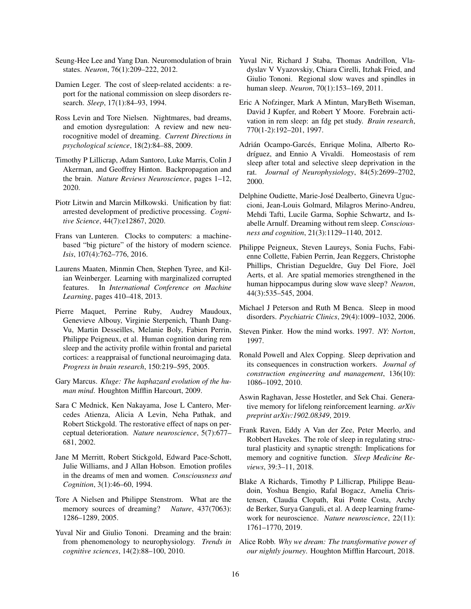- <span id="page-15-1"></span>Seung-Hee Lee and Yang Dan. Neuromodulation of brain Yuval Nir, Richard J Staba, Thomas Andrillon, Vlastates. *Neuron*, 76(1):209–222, 2012.
- <span id="page-15-21"></span>Damien Leger. The cost of sleep-related accidents: a report for the national commission on sleep disorders research. *Sleep*, 17(1):84–93, 1994.
- <span id="page-15-4"></span>Ross Levin and Tore Nielsen. Nightmares, bad dreams, and emotion dysregulation: A review and new neurocognitive model of dreaming. *Current Directions in psychological science*, 18(2):84–88, 2009.
- <span id="page-15-15"></span>Timothy P Lillicrap, Adam Santoro, Luke Marris, Colin J Akerman, and Geoffrey Hinton. Backpropagation and the brain. *Nature Reviews Neuroscience*, pages 1–12, 2020.
- <span id="page-15-11"></span>Piotr Litwin and Marcin Miłkowski. Unification by fiat: arrested development of predictive processing. *Cognitive Science*, 44(7):e12867, 2020.
- <span id="page-15-13"></span>Frans van Lunteren. Clocks to computers: a machinebased "big picture" of the history of modern science. *Isis*, 107(4):762–776, 2016.
- <span id="page-15-16"></span>Laurens Maaten, Minmin Chen, Stephen Tyree, and Kilian Weinberger. Learning with marginalized corrupted features. In *International Conference on Machine Learning*, pages 410–418, 2013.
- <span id="page-15-8"></span>Pierre Maquet, Perrine Ruby, Audrey Maudoux, Genevieve Albouy, Virginie Sterpenich, Thanh Dang-Vu, Martin Desseilles, Melanie Boly, Fabien Perrin, Philippe Peigneux, et al. Human cognition during rem sleep and the activity profile within frontal and parietal cortices: a reappraisal of functional neuroimaging data. *Progress in brain research*, 150:219–595, 2005.
- <span id="page-15-7"></span>Gary Marcus. *Kluge: The haphazard evolution of the human mind*. Houghton Mifflin Harcourt, 2009.
- <span id="page-15-18"></span>Sara C Mednick, Ken Nakayama, Jose L Cantero, Mercedes Atienza, Alicia A Levin, Neha Pathak, and Robert Stickgold. The restorative effect of naps on perceptual deterioration. *Nature neuroscience*, 5(7):677– 681, 2002.
- <span id="page-15-6"></span>Jane M Merritt, Robert Stickgold, Edward Pace-Schott, Julie Williams, and J Allan Hobson. Emotion profiles in the dreams of men and women. *Consciousness and Cognition*, 3(1):46–60, 1994.
- <span id="page-15-10"></span>Tore A Nielsen and Philippe Stenstrom. What are the memory sources of dreaming? *Nature*, 437(7063): 1286–1289, 2005.
- <span id="page-15-17"></span>Yuval Nir and Giulio Tononi. Dreaming and the brain: from phenomenology to neurophysiology. *Trends in cognitive sciences*, 14(2):88–100, 2010.
- <span id="page-15-2"></span>dyslav V Vyazovskiy, Chiara Cirelli, Itzhak Fried, and Giulio Tononi. Regional slow waves and spindles in human sleep. *Neuron*, 70(1):153–169, 2011.
- <span id="page-15-12"></span>Eric A Nofzinger, Mark A Mintun, MaryBeth Wiseman, David J Kupfer, and Robert Y Moore. Forebrain activation in rem sleep: an fdg pet study. *Brain research*, 770(1-2):192–201, 1997.
- <span id="page-15-22"></span>Adrián Ocampo-Garcés, Enrique Molina, Alberto Rodríguez, and Ennio A Vivaldi. Homeostasis of rem sleep after total and selective sleep deprivation in the rat. *Journal of Neurophysiology*, 84(5):2699–2702, 2000.
- <span id="page-15-3"></span>Delphine Oudiette, Marie-José Dealberto, Ginevra Uguccioni, Jean-Louis Golmard, Milagros Merino-Andreu, Mehdi Tafti, Lucile Garma, Sophie Schwartz, and Isabelle Arnulf. Dreaming without rem sleep. *Consciousness and cognition*, 21(3):1129–1140, 2012.
- <span id="page-15-9"></span>Philippe Peigneux, Steven Laureys, Sonia Fuchs, Fabienne Collette, Fabien Perrin, Jean Reggers, Christophe Phillips, Christian Degueldre, Guy Del Fiore, Joël Aerts, et al. Are spatial memories strengthened in the human hippocampus during slow wave sleep? *Neuron*, 44(3):535–545, 2004.
- <span id="page-15-5"></span>Michael J Peterson and Ruth M Benca. Sleep in mood disorders. *Psychiatric Clinics*, 29(4):1009–1032, 2006.
- <span id="page-15-24"></span>Steven Pinker. How the mind works. 1997. *NY: Norton*, 1997.
- <span id="page-15-20"></span>Ronald Powell and Alex Copping. Sleep deprivation and its consequences in construction workers. *Journal of construction engineering and management*, 136(10): 1086–1092, 2010.
- <span id="page-15-23"></span>Aswin Raghavan, Jesse Hostetler, and Sek Chai. Generative memory for lifelong reinforcement learning. *arXiv preprint arXiv:1902.08349*, 2019.
- <span id="page-15-19"></span>Frank Raven, Eddy A Van der Zee, Peter Meerlo, and Robbert Havekes. The role of sleep in regulating structural plasticity and synaptic strength: Implications for memory and cognitive function. *Sleep Medicine Reviews*, 39:3–11, 2018.
- <span id="page-15-14"></span>Blake A Richards, Timothy P Lillicrap, Philippe Beaudoin, Yoshua Bengio, Rafal Bogacz, Amelia Christensen, Claudia Clopath, Rui Ponte Costa, Archy de Berker, Surya Ganguli, et al. A deep learning framework for neuroscience. *Nature neuroscience*, 22(11): 1761–1770, 2019.
- <span id="page-15-0"></span>Alice Robb. *Why we dream: The transformative power of our nightly journey*. Houghton Mifflin Harcourt, 2018.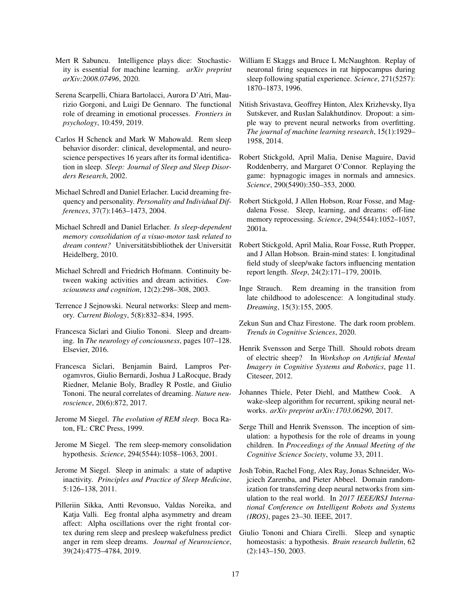- <span id="page-16-8"></span>Mert R Sabuncu. Intelligence plays dice: Stochasticity is essential for machine learning. *arXiv preprint arXiv:2008.07496*, 2020.
- <span id="page-16-9"></span>Serena Scarpelli, Chiara Bartolacci, Aurora D'Atri, Maurizio Gorgoni, and Luigi De Gennaro. The functional role of dreaming in emotional processes. *Frontiers in psychology*, 10:459, 2019.
- <span id="page-16-6"></span>Carlos H Schenck and Mark W Mahowald. Rem sleep behavior disorder: clinical, developmental, and neuroscience perspectives 16 years after its formal identification in sleep. *Sleep: Journal of Sleep and Sleep Disorders Research*, 2002.
- <span id="page-16-18"></span>Michael Schredl and Daniel Erlacher. Lucid dreaming frequency and personality. *Personality and Individual Differences*, 37(7):1463–1473, 2004.
- <span id="page-16-20"></span>Michael Schredl and Daniel Erlacher. *Is sleep-dependent memory consolidation of a visuo-motor task related to dream content?* Universitätsbibliothek der Universität Heidelberg, 2010.
- <span id="page-16-21"></span>Michael Schredl and Friedrich Hofmann. Continuity between waking activities and dream activities. *Consciousness and cognition*, 12(2):298–308, 2003.
- <span id="page-16-23"></span>Terrence J Sejnowski. Neural networks: Sleep and memory. *Current Biology*, 5(8):832–834, 1995.
- <span id="page-16-4"></span>Francesca Siclari and Giulio Tononi. Sleep and dreaming. In *The neurology of conciousness*, pages 107–128. Elsevier, 2016.
- <span id="page-16-3"></span>Francesca Siclari, Benjamin Baird, Lampros Perogamvros, Giulio Bernardi, Joshua J LaRocque, Brady Riedner, Melanie Boly, Bradley R Postle, and Giulio Tononi. The neural correlates of dreaming. *Nature neuroscience*, 20(6):872, 2017.
- <span id="page-16-0"></span>Jerome M Siegel. *The evolution of REM sleep*. Boca Raton, FL: CRC Press, 1999.
- <span id="page-16-10"></span>Jerome M Siegel. The rem sleep-memory consolidation hypothesis. *Science*, 294(5544):1058–1063, 2001.
- <span id="page-16-1"></span>Jerome M Siegel. Sleep in animals: a state of adaptive inactivity. *Principles and Practice of Sleep Medicine*, 5:126–138, 2011.
- <span id="page-16-5"></span>Pilleriin Sikka, Antti Revonsuo, Valdas Noreika, and Katja Valli. Eeg frontal alpha asymmetry and dream affect: Alpha oscillations over the right frontal cortex during rem sleep and presleep wakefulness predict anger in rem sleep dreams. *Journal of Neuroscience*, 39(24):4775–4784, 2019.
- <span id="page-16-11"></span>William E Skaggs and Bruce L McNaughton. Replay of neuronal firing sequences in rat hippocampus during sleep following spatial experience. *Science*, 271(5257): 1870–1873, 1996.
- <span id="page-16-19"></span>Nitish Srivastava, Geoffrey Hinton, Alex Krizhevsky, Ilya Sutskever, and Ruslan Salakhutdinov. Dropout: a simple way to prevent neural networks from overfitting. *The journal of machine learning research*, 15(1):1929– 1958, 2014.
- <span id="page-16-13"></span>Robert Stickgold, April Malia, Denise Maguire, David Roddenberry, and Margaret O'Connor. Replaying the game: hypnagogic images in normals and amnesics. *Science*, 290(5490):350–353, 2000.
- <span id="page-16-12"></span>Robert Stickgold, J Allen Hobson, Roar Fosse, and Magdalena Fosse. Sleep, learning, and dreams: off-line memory reprocessing. *Science*, 294(5544):1052–1057, 2001a.
- <span id="page-16-2"></span>Robert Stickgold, April Malia, Roar Fosse, Ruth Propper, and J Allan Hobson. Brain-mind states: I. longitudinal field study of sleep/wake factors influencing mentation report length. *Sleep*, 24(2):171–179, 2001b.
- <span id="page-16-24"></span>Inge Strauch. Rem dreaming in the transition from late childhood to adolescence: A longitudinal study. *Dreaming*, 15(3):155, 2005.
- <span id="page-16-17"></span>Zekun Sun and Chaz Firestone. The dark room problem. *Trends in Cognitive Sciences*, 2020.
- <span id="page-16-16"></span>Henrik Svensson and Serge Thill. Should robots dream of electric sheep? In *Workshop on Artificial Mental Imagery in Cognitive Systems and Robotics*, page 11. Citeseer, 2012.
- <span id="page-16-14"></span>Johannes Thiele, Peter Diehl, and Matthew Cook. A wake-sleep algorithm for recurrent, spiking neural networks. *arXiv preprint arXiv:1703.06290*, 2017.
- <span id="page-16-15"></span>Serge Thill and Henrik Svensson. The inception of simulation: a hypothesis for the role of dreams in young children. In *Proceedings of the Annual Meeting of the Cognitive Science Society*, volume 33, 2011.
- <span id="page-16-22"></span>Josh Tobin, Rachel Fong, Alex Ray, Jonas Schneider, Wojciech Zaremba, and Pieter Abbeel. Domain randomization for transferring deep neural networks from simulation to the real world. In *2017 IEEE/RSJ International Conference on Intelligent Robots and Systems (IROS)*, pages 23–30. IEEE, 2017.
- <span id="page-16-7"></span>Giulio Tononi and Chiara Cirelli. Sleep and synaptic homeostasis: a hypothesis. *Brain research bulletin*, 62 (2):143–150, 2003.